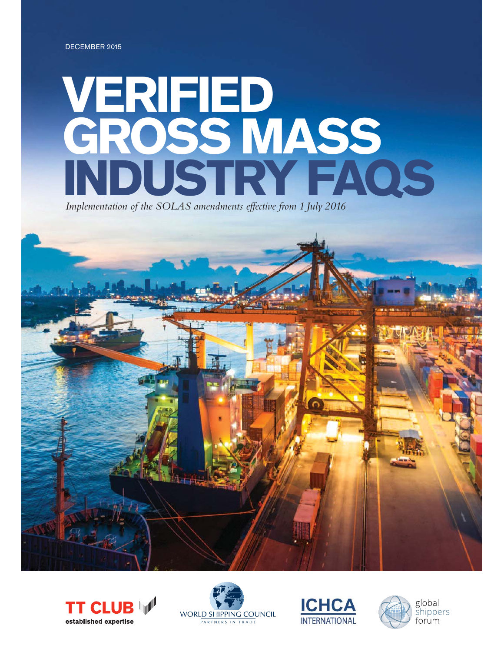# DECEMBER 2015

# **VERIFIED GROSS MASS INDUSTRY FAQS**

*Implementation of the SOLAS amendments effective from 1 July 2016*









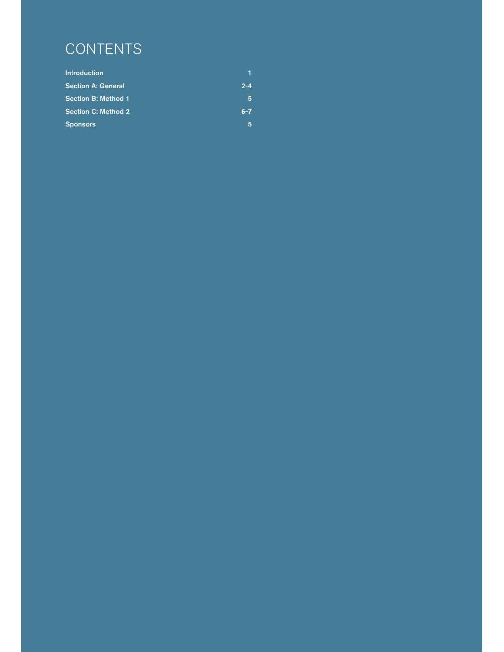# **CONTENTS**

| <b>Introduction</b>        |         |
|----------------------------|---------|
| <b>Section A: General</b>  | $2 - 4$ |
| <b>Section B: Method 1</b> | 5       |
| <b>Section C: Method 2</b> | $6 - 7$ |
| <b>Sponsors</b>            | 5       |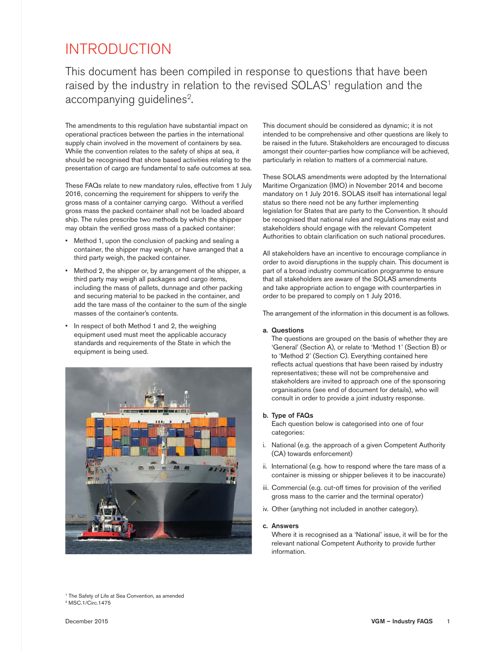# INTRODUCTION

This document has been compiled in response to questions that have been raised by the industry in relation to the revised SOLAS<sup>1</sup> regulation and the accompanying quidelines<sup>2</sup>.

The amendments to this regulation have substantial impact on operational practices between the parties in the international supply chain involved in the movement of containers by sea. While the convention relates to the safety of ships at sea, it should be recognised that shore based activities relating to the presentation of cargo are fundamental to safe outcomes at sea.

These FAQs relate to new mandatory rules, effective from 1 July 2016, concerning the requirement for shippers to verify the gross mass of a container carrying cargo. Without a verified gross mass the packed container shall not be loaded aboard ship. The rules prescribe two methods by which the shipper may obtain the verified gross mass of a packed container:

- Method 1, upon the conclusion of packing and sealing a container, the shipper may weigh, or have arranged that a third party weigh, the packed container.
- Method 2, the shipper or, by arrangement of the shipper, a third party may weigh all packages and cargo items, including the mass of pallets, dunnage and other packing and securing material to be packed in the container, and add the tare mass of the container to the sum of the single masses of the container's contents.
- In respect of both Method 1 and 2, the weighing equipment used must meet the applicable accuracy standards and requirements of the State in which the equipment is being used.



This document should be considered as dynamic; it is not intended to be comprehensive and other questions are likely to be raised in the future. Stakeholders are encouraged to discuss amongst their counter-parties how compliance will be achieved, particularly in relation to matters of a commercial nature.

These SOLAS amendments were adopted by the International Maritime Organization (IMO) in November 2014 and become mandatory on 1 July 2016. SOLAS itself has international legal status so there need not be any further implementing legislation for States that are party to the Convention. It should be recognised that national rules and regulations may exist and stakeholders should engage with the relevant Competent Authorities to obtain clarification on such national procedures.

All stakeholders have an incentive to encourage compliance in order to avoid disruptions in the supply chain. This document is part of a broad industry communication programme to ensure that all stakeholders are aware of the SOLAS amendments and take appropriate action to engage with counterparties in order to be prepared to comply on 1 July 2016.

The arrangement of the information in this document is as follows.

#### **a. Questions**

The questions are grouped on the basis of whether they are 'General' (Section A), or relate to 'Method 1' (Section B) or to 'Method 2' (Section C). Everything contained here reflects actual questions that have been raised by industry representatives; these will not be comprehensive and stakeholders are invited to approach one of the sponsoring organisations (see end of document for details), who will consult in order to provide a joint industry response.

#### **b. Type of FAQs**

Each question below is categorised into one of four categories:

- i. National (e.g. the approach of a given Competent Authority (CA) towards enforcement)
- ii. International (e.g. how to respond where the tare mass of a container is missing or shipper believes it to be inaccurate)
- iii. Commercial (e.g. cut-off times for provision of the verified gross mass to the carrier and the terminal operator)
- iv. Other (anything not included in another category).

#### **c. Answers**

Where it is recognised as a 'National' issue, it will be for the relevant national Competent Authority to provide further information.

<sup>1</sup> The Safety of Life at Sea Convention, as amended <sup>2</sup> MSC.1/Circ.1475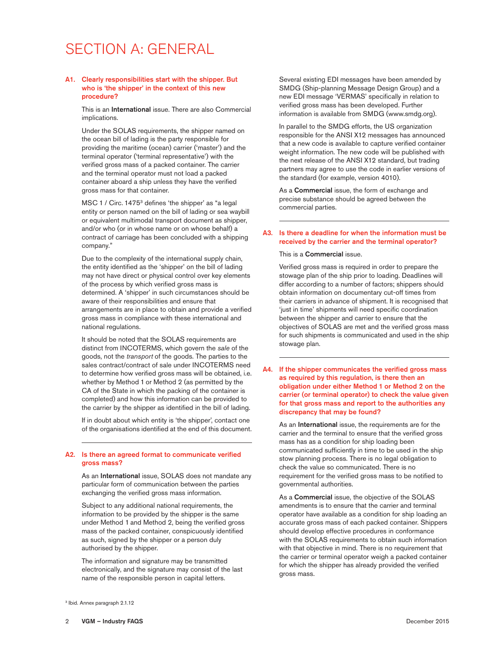# SECTION A: GENERAL

#### **A1. Clearly responsibilities start with the shipper. But who is 'the shipper' in the context of this new procedure?**

This is an **International** issue. There are also Commercial implications.

Under the SOLAS requirements, the shipper named on the ocean bill of lading is the party responsible for providing the maritime (ocean) carrier ('master') and the terminal operator ('terminal representative') with the verified gross mass of a packed container. The carrier and the terminal operator must not load a packed container aboard a ship unless they have the verified gross mass for that container.

MSC 1 / Circ. 1475<sup>3</sup> defines 'the shipper' as "a legal entity or person named on the bill of lading or sea waybill or equivalent multimodal transport document as shipper, and/or who (or in whose name or on whose behalf) a contract of carriage has been concluded with a shipping company."

Due to the complexity of the international supply chain, the entity identified as the 'shipper' on the bill of lading may not have direct or physical control over key elements of the process by which verified gross mass is determined. A 'shipper' in such circumstances should be aware of their responsibilities and ensure that arrangements are in place to obtain and provide a verified gross mass in compliance with these international and national regulations.

It should be noted that the SOLAS requirements are distinct from INCOTERMS, which govern the sale of the goods, not the transport of the goods. The parties to the sales contract/contract of sale under INCOTERMS need to determine how verified gross mass will be obtained, i.e. whether by Method 1 or Method 2 (as permitted by the CA of the State in which the packing of the container is completed) and how this information can be provided to the carrier by the shipper as identified in the bill of lading.

If in doubt about which entity is 'the shipper', contact one of the organisations identified at the end of this document.

#### **A2. Is there an agreed format to communicate verified gross mass?**

As an **International** issue, SOLAS does not mandate any particular form of communication between the parties exchanging the verified gross mass information.

Subject to any additional national requirements, the information to be provided by the shipper is the same under Method 1 and Method 2, being the verified gross mass of the packed container, conspicuously identified as such, signed by the shipper or a person duly authorised by the shipper.

The information and signature may be transmitted electronically, and the signature may consist of the last name of the responsible person in capital letters.

Several existing EDI messages have been amended by SMDG (Ship-planning Message Design Group) and a new EDI message 'VERMAS' specifically in relation to verified gross mass has been developed. Further information is available from SMDG (www.smdg.org).

In parallel to the SMDG efforts, the US organization responsible for the ANSI X12 messages has announced that a new code is available to capture verified container weight information. The new code will be published with the next release of the ANSI X12 standard, but trading partners may agree to use the code in earlier versions of the standard (for example, version 4010).

As a **Commercial** issue, the form of exchange and precise substance should be agreed between the commercial parties.

#### **A3. Is there a deadline for when the information must be received by the carrier and the terminal operator?**

#### This is a **Commercial** issue.

Verified gross mass is required in order to prepare the stowage plan of the ship prior to loading. Deadlines will differ according to a number of factors; shippers should obtain information on documentary cut-off times from their carriers in advance of shipment. It is recognised that 'just in time' shipments will need specific coordination between the shipper and carrier to ensure that the objectives of SOLAS are met and the verified gross mass for such shipments is communicated and used in the ship stowage plan.

**A4. If the shipper communicates the verified gross mass as required by this regulation, is there then an obligation under either Method 1 or Method 2 on the carrier (or terminal operator) to check the value given for that gross mass and report to the authorities any discrepancy that may be found?**

As an **International** issue, the requirements are for the carrier and the terminal to ensure that the verified gross mass has as a condition for ship loading been communicated sufficiently in time to be used in the ship stow planning process. There is no legal obligation to check the value so communicated. There is no requirement for the verified gross mass to be notified to governmental authorities.

As a **Commercial** issue, the objective of the SOLAS amendments is to ensure that the carrier and terminal operator have available as a condition for ship loading an accurate gross mass of each packed container. Shippers should develop effective procedures in conformance with the SOLAS requirements to obtain such information with that objective in mind. There is no requirement that the carrier or terminal operator weigh a packed container for which the shipper has already provided the verified gross mass.

<sup>3</sup> Ibid. Annex paragraph 2.1.12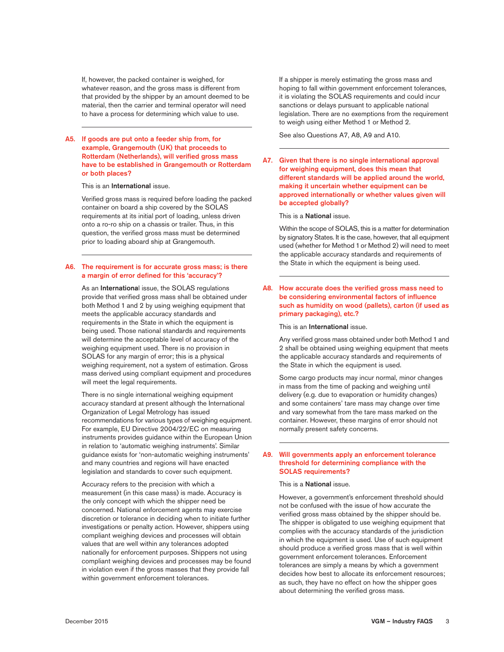If, however, the packed container is weighed, for whatever reason, and the gross mass is different from that provided by the shipper by an amount deemed to be material, then the carrier and terminal operator will need to have a process for determining which value to use.

#### **A5. If goods are put onto a feeder ship from, for example, Grangemouth (UK) that proceeds to Rotterdam (Netherlands), will verified gross mass have to be established in Grangemouth or Rotterdam or both places?**

#### This is an **International** issue.

Verified gross mass is required before loading the packed container on board a ship covered by the SOLAS requirements at its initial port of loading, unless driven onto a ro-ro ship on a chassis or trailer. Thus, in this question, the verified gross mass must be determined prior to loading aboard ship at Grangemouth.

### **A6. The requirement is for accurate gross mass; is there a margin of error defined for this 'accuracy'?**

As an **Internationa**l issue, the SOLAS regulations provide that verified gross mass shall be obtained under both Method 1 and 2 by using weighing equipment that meets the applicable accuracy standards and requirements in the State in which the equipment is being used. Those national standards and requirements will determine the acceptable level of accuracy of the weighing equipment used. There is no provision in SOLAS for any margin of error; this is a physical weighing requirement, not a system of estimation. Gross mass derived using compliant equipment and procedures will meet the legal requirements.

There is no single international weighing equipment accuracy standard at present although the International Organization of Legal Metrology has issued recommendations for various types of weighing equipment. For example, EU Directive 2004/22/EC on measuring instruments provides guidance within the European Union in relation to 'automatic weighing instruments'. Similar guidance exists for 'non-automatic weighing instruments' and many countries and regions will have enacted legislation and standards to cover such equipment.

Accuracy refers to the precision with which a measurement (in this case mass) is made. Accuracy is the only concept with which the shipper need be concerned. National enforcement agents may exercise discretion or tolerance in deciding when to initiate further investigations or penalty action. However, shippers using compliant weighing devices and processes will obtain values that are well within any tolerances adopted nationally for enforcement purposes. Shippers not using compliant weighing devices and processes may be found in violation even if the gross masses that they provide fall within government enforcement tolerances.

If a shipper is merely estimating the gross mass and hoping to fall within government enforcement tolerances, it is violating the SOLAS requirements and could incur sanctions or delays pursuant to applicable national legislation. There are no exemptions from the requirement to weigh using either Method 1 or Method 2.

See also Questions A7, A8, A9 and A10.

**A7. Given that there is no single international approval for weighing equipment, does this mean that different standards will be applied around the world, making it uncertain whether equipment can be approved internationally or whether values given will be accepted globally?**

## This is a **National** issue.

Within the scope of SOLAS, this is a matter for determination by signatory States. It is the case, however, that all equipment used (whether for Method 1or Method 2) will need to meet the applicable accuracy standards and requirements of the State in which the equipment is being used.

## **A8. How accurate does the verified gross mass need to be considering environmental factors of influence such as humidity on wood (pallets), carton (if used as primary packaging), etc.?**

This is an **International** issue.

Any verified gross mass obtained under both Method 1 and 2 shall be obtained using weighing equipment that meets the applicable accuracy standards and requirements of the State in which the equipment is used.

Some cargo products may incur normal, minor changes in mass from the time of packing and weighing until delivery (e.g. due to evaporation or humidity changes) and some containers' tare mass may change over time and vary somewhat from the tare mass marked on the container. However, these margins of error should not normally present safety concerns.

#### **A9. Will governments apply an enforcement tolerance threshold for determining compliance with the SOLAS requirements?**

#### This is a **National** issue.

However, a government's enforcement threshold should not be confused with the issue of how accurate the verified gross mass obtained by the shipper should be. The shipper is obligated to use weighing equipment that complies with the accuracy standards of the jurisdiction in which the equipment is used. Use of such equipment should produce a verified gross mass that is well within government enforcement tolerances. Enforcement tolerances are simply a means by which a government decides how best to allocate its enforcement resources; as such, they have no effect on how the shipper goes about determining the verified gross mass.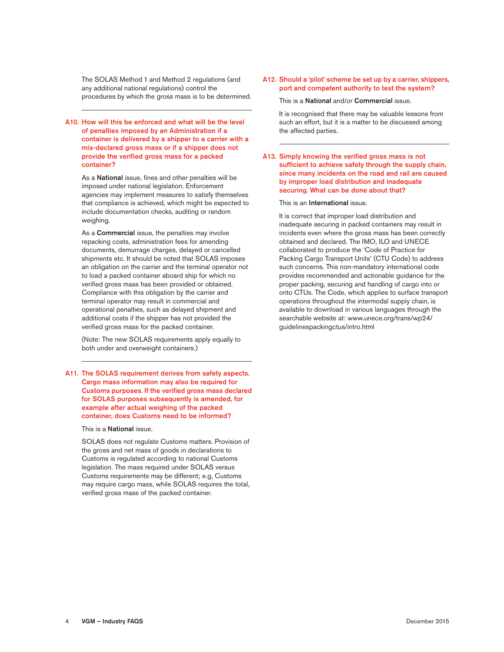The SOLAS Method 1 and Method 2 regulations (and any additional national regulations) control the procedures by which the gross mass is to be determined.

**A10. How will this be enforced and what will be the level of penalties imposed by an Administration if a container is delivered by a shipper to a carrier with a mis-declared gross mass or if a shipper does not provide the verified gross mass for a packed container?** 

As a **National** issue, fines and other penalties will be imposed under national legislation. Enforcement agencies may implement measures to satisfy themselves that compliance is achieved, which might be expected to include documentation checks, auditing or random weighing.

As a **Commercial** issue, the penalties may involve repacking costs, administration fees for amending documents, demurrage charges, delayed or cancelled shipments etc. It should be noted that SOLAS imposes an obligation on the carrier and the terminal operator not to load a packed container aboard ship for which no verified gross mass has been provided or obtained. Compliance with this obligation by the carrier and terminal operator may result in commercial and operational penalties, such as delayed shipment and additional costs if the shipper has not provided the verified gross mass for the packed container.

(Note: The new SOLAS requirements apply equally to both under and overweight containers.)

**A11. The SOLAS requirement derives from safety aspects. Cargo mass information may also be required for Customs purposes. If the verified gross mass declared for SOLAS purposes subsequently is amended, for example after actual weighing of the packed container, does Customs need to be informed?**

## This is a **National** issue.

SOLAS does not regulate Customs matters. Provision of the gross and net mass of goods in declarations to Customs is regulated according to national Customs legislation. The mass required under SOLAS versus Customs requirements may be different; e.g, Customs may require cargo mass, while SOLAS requires the total, verified gross mass of the packed container.

#### **A12. Should a 'pilot' scheme be set up by a carrier, shippers, port and competent authority to test the system?**

This is a **National** and/or **Commercial** issue.

It is recognised that there may be valuable lessons from such an effort, but it is a matter to be discussed among the affected parties.

#### **A13. Simply knowing the verified gross mass is not sufficient to achieve safety through the supply chain, since many incidents on the road and rail are caused by improper load distribution and inadequate securing. What can be done about that?**

#### This is an **International** issue.

It is correct that improper load distribution and inadequate securing in packed containers may result in incidents even where the gross mass has been correctly obtained and declared. The IMO, ILO and UNECE collaborated to produce the 'Code of Practice for Packing Cargo Transport Units' (CTU Code) to address such concerns. This non-mandatory international code provides recommended and actionable guidance for the proper packing, securing and handling of cargo into or onto CTUs. The Code, which applies to surface transport operations throughout the intermodal supply chain, is available to download in various languages through the searchable website at: www.unece.org/trans/wp24/ guidelinespackingctus/intro.html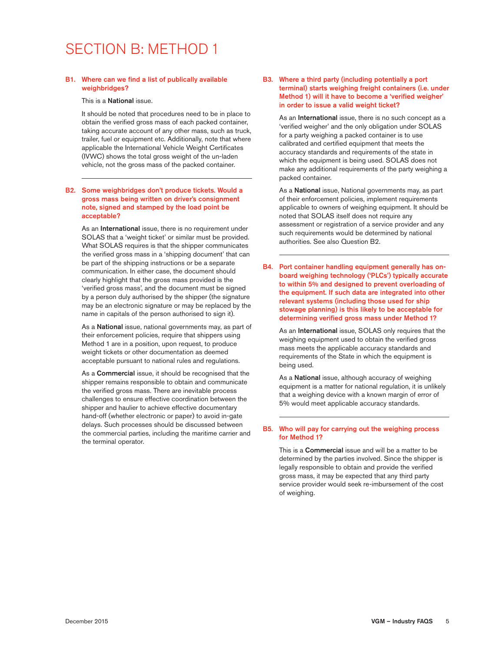# SECTION B: METHOD 1

## **B1. Where can we find a list of publically available weighbridges?**

#### This is a **National** issue.

It should be noted that procedures need to be in place to obtain the verified gross mass of each packed container, taking accurate account of any other mass, such as truck, trailer, fuel or equipment etc. Additionally, note that where applicable the International Vehicle Weight Certificates (IVWC) shows the total gross weight of the un-laden vehicle, not the gross mass of the packed container.

#### **B2. Some weighbridges don't produce tickets. Would a gross mass being written on driver's consignment note, signed and stamped by the load point be acceptable?**

As an **International** issue, there is no requirement under SOLAS that a 'weight ticket' or similar must be provided. What SOLAS requires is that the shipper communicates the verified gross mass in a 'shipping document' that can be part of the shipping instructions or be a separate communication. In either case, the document should clearly highlight that the gross mass provided is the 'verified gross mass', and the document must be signed by a person duly authorised by the shipper (the signature may be an electronic signature or may be replaced by the name in capitals of the person authorised to sign it).

As a **National** issue, national governments may, as part of their enforcement policies, require that shippers using Method 1 are in a position, upon request, to produce weight tickets or other documentation as deemed acceptable pursuant to national rules and regulations.

As a **Commercial** issue, it should be recognised that the shipper remains responsible to obtain and communicate the verified gross mass. There are inevitable process challenges to ensure effective coordination between the shipper and haulier to achieve effective documentary hand-off (whether electronic or paper) to avoid in-gate delays. Such processes should be discussed between the commercial parties, including the maritime carrier and the terminal operator.

#### **B3. Where a third party (including potentially a port terminal) starts weighing freight containers (i.e. under Method 1) will it have to become a 'verified weigher' in order to issue a valid weight ticket?**

As an **International** issue, there is no such concept as a 'verified weigher' and the only obligation under SOLAS for a party weighing a packed container is to use calibrated and certified equipment that meets the accuracy standards and requirements of the state in which the equipment is being used. SOLAS does not make any additional requirements of the party weighing a packed container.

As a **National** issue, National governments may, as part of their enforcement policies, implement requirements applicable to owners of weighing equipment. It should be noted that SOLAS itself does not require any assessment or registration of a service provider and any such requirements would be determined by national authorities. See also Question B2.

**B4. Port container handling equipment generally has onboard weighing technology ('PLCs') typically accurate to within 5% and designed to prevent overloading of the equipment. If such data are integrated into other relevant systems (including those used for ship stowage planning) is this likely to be acceptable for determining verified gross mass under Method 1?**

As an **International** issue, SOLAS only requires that the weighing equipment used to obtain the verified gross mass meets the applicable accuracy standards and requirements of the State in which the equipment is being used.

As a **National** issue, although accuracy of weighing equipment is a matter for national regulation, it is unlikely that a weighing device with a known margin of error of 5% would meet applicable accuracy standards.

## **B5. Who will pay for carrying out the weighing process for Method 1?**

This is a **Commercial** issue and will be a matter to be determined by the parties involved. Since the shipper is legally responsible to obtain and provide the verified gross mass, it may be expected that any third party service provider would seek re-imbursement of the cost of weighing.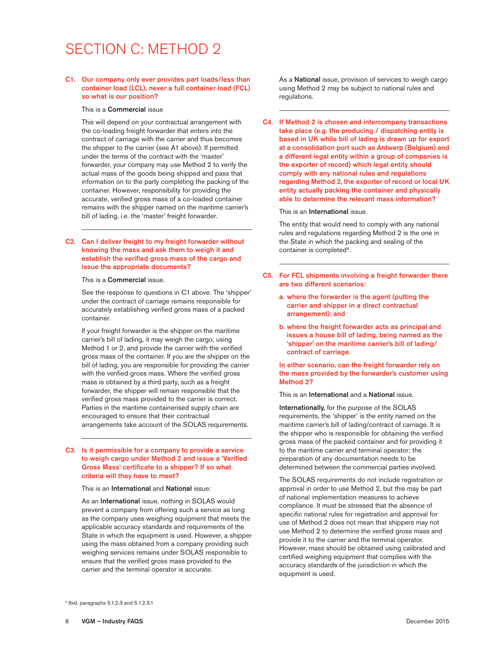# SECTION C: METHOD 2

#### **C1. Our company only ever provides part loads/less than container load (LCL), never a full container load (FCL) so what is our position?**

#### This is a **Commercial** issue

This will depend on your contractual arrangement with the co-loading freight forwarder that enters into the contract of carriage with the carrier and thus becomes the shipper to the carrier (see A1 above). If permitted under the terms of the contract with the 'master' forwarder, your company may use Method 2 to verify the actual mass of the goods being shipped and pass that information on to the party completing the packing of the container. However, responsibility for providing the accurate, verified gross mass of a co-loaded container remains with the shipper named on the maritime carrier's bill of lading, i.e. the 'master' freight forwarder.

#### **C2. Can I deliver freight to my freight forwarder without knowing the mass and ask them to weigh it and establish the verified gross mass of the cargo and issue the appropriate documents?**

#### This is a **Commercial** issue.

See the response to questions in C1 above. The 'shipper' under the contract of carriage remains responsible for accurately establishing verified gross mass of a packed container.

If your freight forwarder is the shipper on the maritime carrier's bill of lading, it may weigh the cargo, using Method 1 or 2, and provide the carrier with the verified gross mass of the container. If you are the shipper on the bill of lading, you are responsible for providing the carrier with the verified gross mass. Where the verified gross mass is obtained by a third party, such as a freight forwarder, the shipper will remain responsible that the verified gross mass provided to the carrier is correct. Parties in the maritime containerised supply chain are encouraged to ensure that their contractual arrangements take account of the SOLAS requirements.

#### **C3. Is it permissible for a company to provide a service to weigh cargo under Method 2 and issue a 'Verified Gross Mass' certificate to a shipper? If so what criteria will they have to meet?**

#### This is an **International** and **National** issue:

As an **International** issue, nothing in SOLAS would prevent a company from offering such a service as long as the company uses weighing equipment that meets the applicable accuracy standards and requirements of the State in which the equipment is used. However, a shipper using the mass obtained from a company providing such weighing services remains under SOLAS responsible to ensure that the verified gross mass provided to the carrier and the terminal operator is accurate.

As a **National** issue, provision of services to weigh cargo using Method 2 may be subject to national rules and regulations.

**C4. If Method 2 is chosen and intercompany transactions take place (e.g. the producing / dispatching entity is based in UK while bill of lading is drawn up for export at a consolidation port such as Antwerp (Belgium) and a different legal entity within a group of companies is the exporter of record) which legal entity should comply with any national rules and regulations regarding Method 2, the exporter of record or local UK entity actually packing the container and physically able to determine the relevant mass information?**

#### This is an **International** issue.

The entity that would need to comply with any national rules and regulations regarding Method 2 is the one in the State in which the packing and sealing of the container is completed<sup>4</sup>.

- **C5. For FCL shipments involving a freight forwarder there are two different scenarios:**
	- **a. where the forwarder is the agent (putting the carrier and shipper in a direct contractual arrangement); and**
	- **b. where the freight forwarder acts as principal and issues a house bill of lading, being named as the 'shipper' on the maritime carrier's bill of lading/ contract of carriage.**

#### **In either scenario, can the freight forwarder rely on the mass provided by the forwarder's customer using Method 2?**

This is an **International** and a **National** issue.

**Internationally,** for the purpose of the SOLAS requirements, the 'shipper' is the entity named on the maritime carrier's bill of lading/contract of carriage. It is the shipper who is responsible for obtaining the verified gross mass of the packed container and for providing it to the maritime carrier and terminal operator; the preparation of any documentation needs to be determined between the commercial parties involved.

The SOLAS requirements do not include registration or approval in order to use Method 2, but this may be part of national implementation measures to achieve compliance. It must be stressed that the absence of specific national rules for registration and approval for use of Method 2 does not mean that shippers may not use Method 2 to determine the verified gross mass and provide it to the carrier and the terminal operator. However, mass should be obtained using calibrated and certified weighing equipment that complies with the accuracy standards of the jurisdiction in which the equipment is used.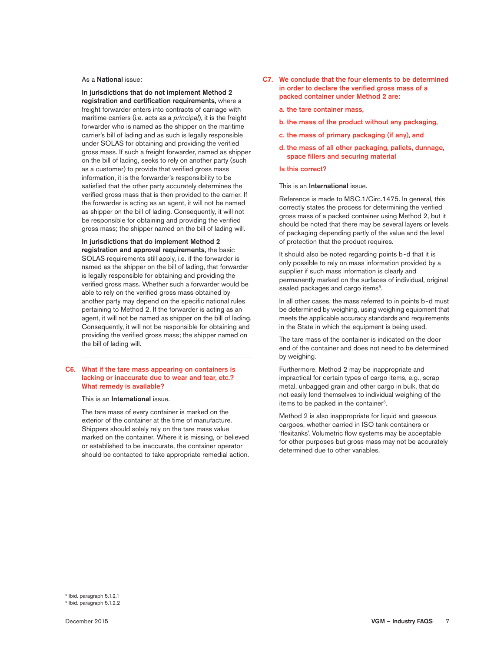As a **National** issue:

**In jurisdictions that do not implement Method 2 registration and certification requirements,** where a freight forwarder enters into contracts of carriage with maritime carriers (i.e. acts as a principal), it is the freight forwarder who is named as the shipper on the maritime carrier's bill of lading and as such is legally responsible under SOLAS for obtaining and providing the verified gross mass. If such a freight forwarder, named as shipper on the bill of lading, seeks to rely on another party (such as a customer) to provide that verified gross mass information, it is the forwarder's responsibility to be satisfied that the other party accurately determines the verified gross mass that is then provided to the carrier. If the forwarder is acting as an agent, it will not be named as shipper on the bill of lading. Consequently, it will not be responsible for obtaining and providing the verified gross mass; the shipper named on the bill of lading will.

**In jurisdictions that do implement Method 2 registration and approval requirements,** the basic SOLAS requirements still apply, i.e. if the forwarder is named as the shipper on the bill of lading, that forwarder is legally responsible for obtaining and providing the verified gross mass. Whether such a forwarder would be able to rely on the verified gross mass obtained by another party may depend on the specific national rules pertaining to Method 2. If the forwarder is acting as an agent, it will not be named as shipper on the bill of lading. Consequently, it will not be responsible for obtaining and providing the verified gross mass; the shipper named on the bill of lading will.

#### **C6. What if the tare mass appearing on containers is lacking or inaccurate due to wear and tear, etc.? What remedy is available?**

#### This is an **International** issue.

The tare mass of every container is marked on the exterior of the container at the time of manufacture. Shippers should solely rely on the tare mass value marked on the container. Where it is missing, or believed or established to be inaccurate, the container operator should be contacted to take appropriate remedial action.

- **C7. We conclude that the four elements to be determined in order to declare the verified gross mass of a packed container under Method 2 are:**
	- **a. the tare container mass,**
	- **b. the mass of the product without any packaging,**
	- **c. the mass of primary packaging (if any), and**
	- **d. the mass of all other packaging, pallets, dunnage, space fillers and securing material**

#### **Is this correct?**

#### This is an **International** issue.

Reference is made to MSC.1/Circ.1475. In general, this correctly states the process for determining the verified gross mass of a packed container using Method 2, but it should be noted that there may be several layers or levels of packaging depending partly of the value and the level of protection that the product requires.

It should also be noted regarding points b-d that it is only possible to rely on mass information provided by a supplier if such mass information is clearly and permanently marked on the surfaces of individual, original sealed packages and cargo items<sup>5</sup>.

In all other cases, the mass referred to in points b-d must be determined by weighing, using weighing equipment that meets the applicable accuracy standards and requirements in the State in which the equipment is being used.

The tare mass of the container is indicated on the door end of the container and does not need to be determined by weighing.

Furthermore, Method 2 may be inappropriate and impractical for certain types of cargo items, e.g., scrap metal, unbagged grain and other cargo in bulk, that do not easily lend themselves to individual weighing of the items to be packed in the container<sup>6</sup>.

Method 2 is also inappropriate for liquid and gaseous cargoes, whether carried in ISO tank containers or 'flexitanks'. Volumetric flow systems may be acceptable for other purposes but gross mass may not be accurately determined due to other variables.

<sup>5</sup> Ibid. paragraph 5.1.2.1 <sup>6</sup> Ibid. paragraph 5.1.2.2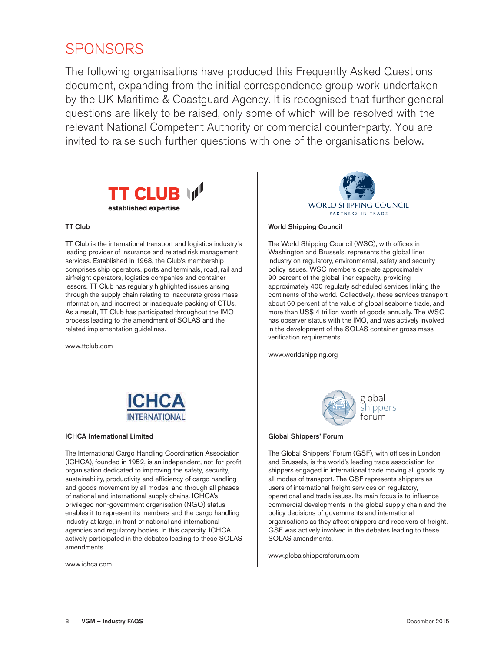# SPONSORS

The following organisations have produced this Frequently Asked Questions document, expanding from the initial correspondence group work undertaken by the UK Maritime & Coastguard Agency. It is recognised that further general questions are likely to be raised, only some of which will be resolved with the relevant National Competent Authority or commercial counter-party. You are invited to raise such further questions with one of the organisations below.



# **TT Club**

TT Club is the international transport and logistics industry's leading provider of insurance and related risk management services. Established in 1968, the Club's membership comprises ship operators, ports and terminals, road, rail and airfreight operators, logistics companies and container lessors. TT Club has regularly highlighted issues arising through the supply chain relating to inaccurate gross mass information, and incorrect or inadequate packing of CTUs. As a result, TT Club has participated throughout the IMO process leading to the amendment of SOLAS and the related implementation guidelines.

www.ttclub.com



#### **World Shipping Council**

The World Shipping Council (WSC), with offices in Washington and Brussels, represents the global liner industry on regulatory, environmental, safety and security policy issues. WSC members operate approximately 90 percent of the global liner capacity, providing approximately 400 regularly scheduled services linking the continents of the world. Collectively, these services transport about 60 percent of the value of global seaborne trade, and more than US\$ 4 trillion worth of goods annually. The WSC has observer status with the IMO, and was actively involved in the development of the SOLAS container gross mass verification requirements.

www.worldshipping.org



#### **ICHCA International Limited**

The International Cargo Handling Coordination Association (ICHCA), founded in 1952, is an independent, not-for-profit organisation dedicated to improving the safety, security, sustainability, productivity and efficiency of cargo handling and goods movement by all modes, and through all phases of national and international supply chains. ICHCA's privileged non-government organisation (NGO) status enables it to represent its members and the cargo handling industry at large, in front of national and international agencies and regulatory bodies. In this capacity, ICHCA actively participated in the debates leading to these SOLAS amendments.

www.ichca.com



#### **Global Shippers' Forum**

The Global Shippers' Forum (GSF), with offices in London and Brussels, is the world's leading trade association for shippers engaged in international trade moving all goods by all modes of transport. The GSF represents shippers as users of international freight services on regulatory, operational and trade issues. Its main focus is to influence commercial developments in the global supply chain and the policy decisions of governments and international organisations as they affect shippers and receivers of freight. GSF was actively involved in the debates leading to these SOLAS amendments.

www.globalshippersforum.com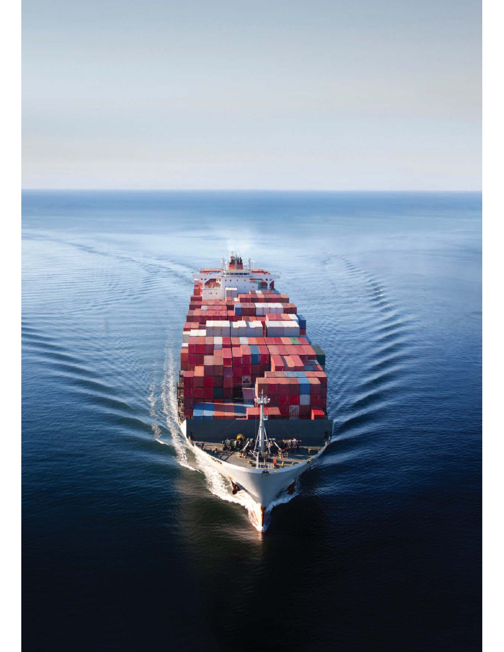